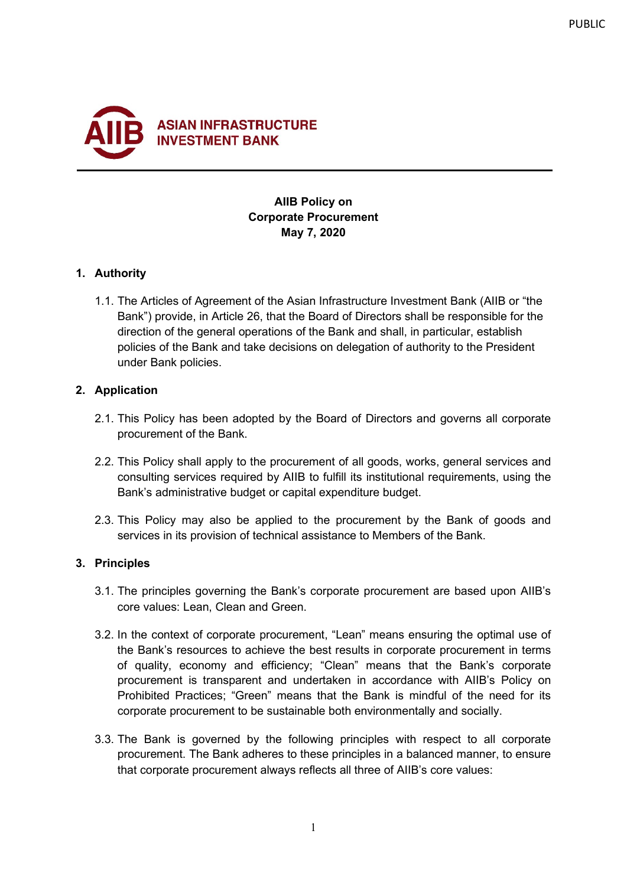

# **AIIB Policy on Corporate Procurement May 7, 2020**

### **1. Authority**

1.1. The Articles of Agreement of the Asian Infrastructure Investment Bank (AIIB or "the Bank") provide, in Article 26, that the Board of Directors shall be responsible for the direction of the general operations of the Bank and shall, in particular, establish policies of the Bank and take decisions on delegation of authority to the President under Bank policies.

### **2. Application**

- 2.1. This Policy has been adopted by the Board of Directors and governs all corporate procurement of the Bank.
- 2.2. This Policy shall apply to the procurement of all goods, works, general services and consulting services required by AIIB to fulfill its institutional requirements, using the Bank's administrative budget or capital expenditure budget.
- 2.3. This Policy may also be applied to the procurement by the Bank of goods and services in its provision of technical assistance to Members of the Bank.

## **3. Principles**

- 3.1. The principles governing the Bank's corporate procurement are based upon AIIB's core values: Lean, Clean and Green.
- 3.2. In the context of corporate procurement, "Lean" means ensuring the optimal use of the Bank's resources to achieve the best results in corporate procurement in terms of quality, economy and efficiency; "Clean" means that the Bank's corporate procurement is transparent and undertaken in accordance with AIIB's Policy on Prohibited Practices; "Green" means that the Bank is mindful of the need for its corporate procurement to be sustainable both environmentally and socially.
- 3.3. The Bank is governed by the following principles with respect to all corporate procurement. The Bank adheres to these principles in a balanced manner, to ensure that corporate procurement always reflects all three of AIIB's core values: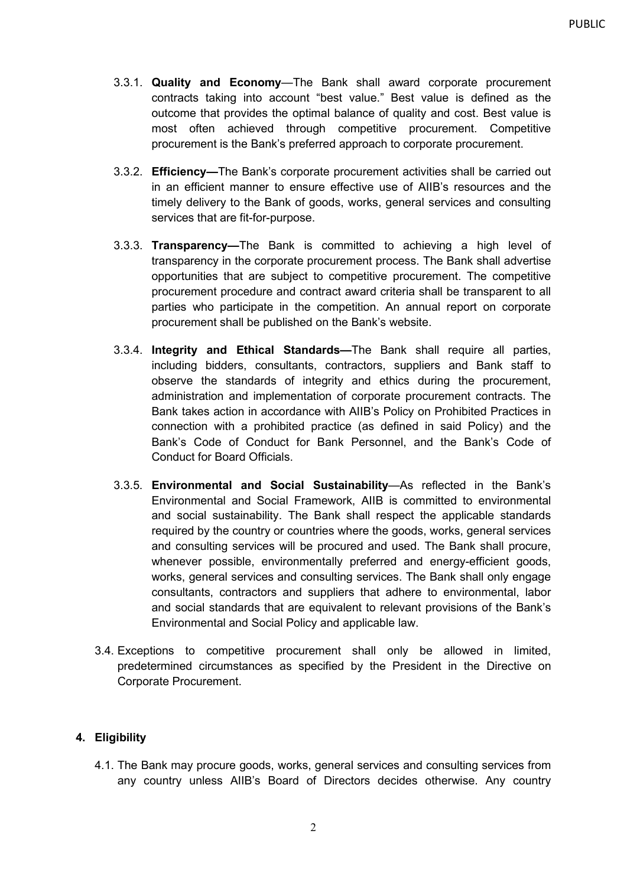- 3.3.1. **Quality and Economy**—The Bank shall award corporate procurement contracts taking into account "best value." Best value is defined as the outcome that provides the optimal balance of quality and cost. Best value is most often achieved through competitive procurement. Competitive procurement is the Bank's preferred approach to corporate procurement.
- 3.3.2. **Efficiency—**The Bank's corporate procurement activities shall be carried out in an efficient manner to ensure effective use of AIIB's resources and the timely delivery to the Bank of goods, works, general services and consulting services that are fit-for-purpose.
- 3.3.3. **Transparency—**The Bank is committed to achieving a high level of transparency in the corporate procurement process. The Bank shall advertise opportunities that are subject to competitive procurement. The competitive procurement procedure and contract award criteria shall be transparent to all parties who participate in the competition. An annual report on corporate procurement shall be published on the Bank's website.
- 3.3.4. **Integrity and Ethical Standards—**The Bank shall require all parties, including bidders, consultants, contractors, suppliers and Bank staff to observe the standards of integrity and ethics during the procurement, administration and implementation of corporate procurement contracts. The Bank takes action in accordance with AIIB's Policy on Prohibited Practices in connection with a prohibited practice (as defined in said Policy) and the Bank's Code of Conduct for Bank Personnel, and the Bank's Code of Conduct for Board Officials.
- 3.3.5. **Environmental and Social Sustainability**—As reflected in the Bank's Environmental and Social Framework, AIIB is committed to environmental and social sustainability. The Bank shall respect the applicable standards required by the country or countries where the goods, works, general services and consulting services will be procured and used. The Bank shall procure, whenever possible, environmentally preferred and energy-efficient goods, works, general services and consulting services. The Bank shall only engage consultants, contractors and suppliers that adhere to environmental, labor and social standards that are equivalent to relevant provisions of the Bank's Environmental and Social Policy and applicable law.
- 3.4. Exceptions to competitive procurement shall only be allowed in limited, predetermined circumstances as specified by the President in the Directive on Corporate Procurement.

### **4. Eligibility**

4.1. The Bank may procure goods, works, general services and consulting services from any country unless AIIB's Board of Directors decides otherwise. Any country